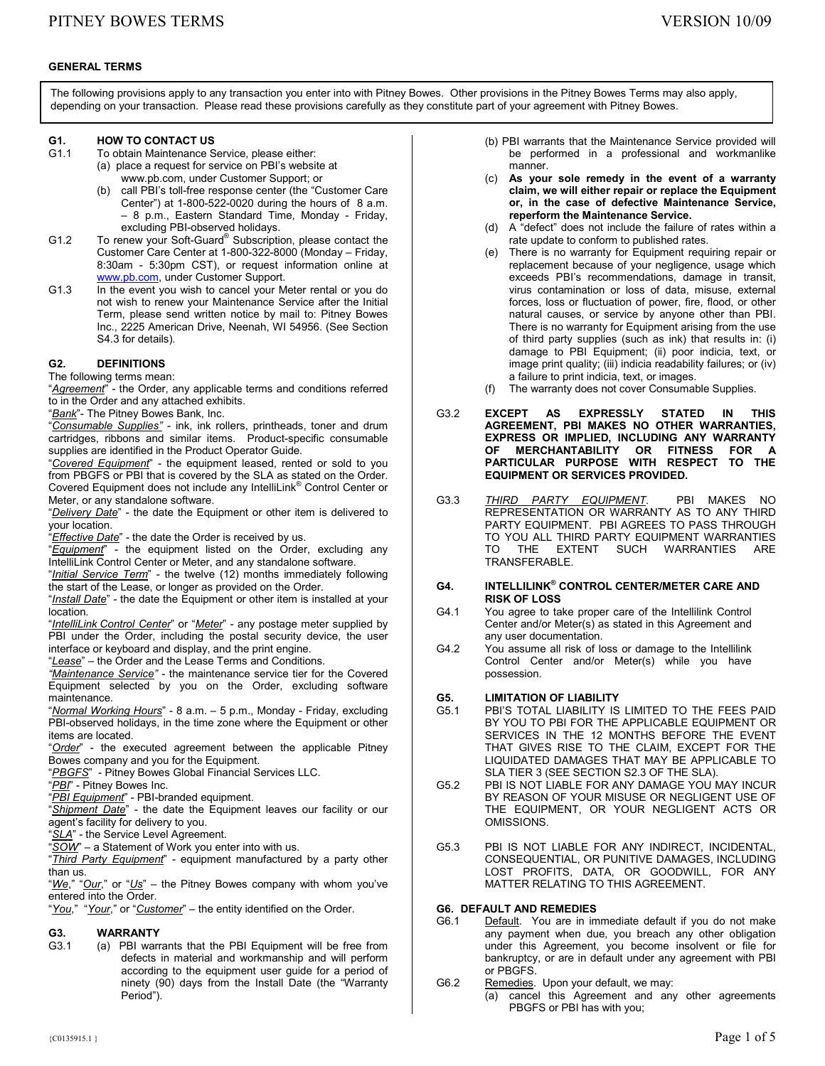### **GENERAL TERMS**

The following provisions apply to any transaction you enter into with Pitney Bowes. Other provisions in the Pitney Bowes Terms may also apply, depending on your transaction. Please read these provisions carefully as they constitute part of your agreement with Pitney Bowes.

# **G1. HOW TO CONTACT US**<br>G1.1 To obtain Maintenance S

- To obtain Maintenance Service, please either: (a) place a request for service on PBI's website at www.pb.com, under Customer Support; or
	- call PBI's toll-free response center (the "Customer Care Center") at 1-800-522-0020 during the hours of 8 a.m. – 8 p.m., Eastern Standard Time, Monday - Friday, excluding PBI-observed holidays.
- G1.2 To renew your Soft-Guard® Subscription, please contact the Customer Care Center at 1-800-322-8000 (Monday – Friday, 8:30am - 5:30pm CST), or request information online at www.pb.com, under Customer Support.
- G1.3 In the event you wish to cancel your Meter rental or you do not wish to renew your Maintenance Service after the Initial Term, please send written notice by mail to: Pitney Bowes Inc., 2225 American Drive, Neenah, WI 54956. (See Section S4.3 for details).

## **G2. DEFINITIONS**

The following terms mean:

"*Agreement*" - the Order, any applicable terms and conditions referred to in the Order and any attached exhibits.

"*Bank*"- The Pitney Bowes Bank, Inc.

"*Consumable Supplies"* - ink, ink rollers, printheads, toner and drum cartridges, ribbons and similar items. Product-specific consumable supplies are identified in the Product Operator Guide.

"*Covered Equipment*" - the equipment leased, rented or sold to you from PBGFS or PBI that is covered by the SLA as stated on the Order. Covered Equipment does not include any IntelliLink® Control Center or Meter, or any standalone software.

"*Delivery Date*" - the date the Equipment or other item is delivered to your location.

"*Effective Date*" - the date the Order is received by us.

"*Equipment*" - the equipment listed on the Order, excluding any IntelliLink Control Center or Meter, and any standalone software.

"*Initial Service Term*" - the twelve (12) months immediately following the start of the Lease, or longer as provided on the Order.

"*Install Date*" - the date the Equipment or other item is installed at your location.

"*IntelliLink Control Center*" or "*Meter*" - any postage meter supplied by PBI under the Order, including the postal security device, the user interface or keyboard and display, and the print engine.

"*Lease*" – the Order and the Lease Terms and Conditions.

*"Maintenance Service"* - the maintenance service tier for the Covered Equipment selected by you on the Order, excluding software maintenance.

"*Normal Working Hours*" - 8 a.m. – 5 p.m., Monday - Friday, excluding PBI-observed holidays, in the time zone where the Equipment or other items are located.

"*Order*" - the executed agreement between the applicable Pitney Bowes company and you for the Equipment.

"*PBGFS*" - Pitney Bowes Global Financial Services LLC.

"*PBI*" - Pitney Bowes Inc.

"*PBI Equipment*" - PBI-branded equipment.

"*Shipment Date*" - the date the Equipment leaves our facility or our agent's facility for delivery to you.

"*SLA*" - the Service Level Agreement.

SOW" – a Statement of Work you enter into with us.

"*Third Party Equipment*" - equipment manufactured by a party other than us.

"*We*," "*Our*," or "*Us*" – the Pitney Bowes company with whom you've entered into the Order.

"*You*," "*Your*," or "*Customer*" – the entity identified on the Order.

# **G3. WARRANTY**<br>G3.1 (a) PBI warr

(a) PBI warrants that the PBI Equipment will be free from defects in material and workmanship and will perform according to the equipment user guide for a period of ninety (90) days from the Install Date (the "Warranty Period").

- (b) PBI warrants that the Maintenance Service provided will be performed in a professional and workmanlike manner.
- (c) **As your sole remedy in the event of a warranty claim, we will either repair or replace the Equipment or, in the case of defective Maintenance Service, reperform the Maintenance Service.**
- (d) A "defect" does not include the failure of rates within a rate update to conform to published rates.
- (e) There is no warranty for Equipment requiring repair or replacement because of your negligence, usage which exceeds PBI's recommendations, damage in transit, virus contamination or loss of data, misuse, external forces, loss or fluctuation of power, fire, flood, or other natural causes, or service by anyone other than PBI. There is no warranty for Equipment arising from the use of third party supplies (such as ink) that results in: (i) damage to PBI Equipment; (ii) poor indicia, text, or image print quality; (iii) indicia readability failures; or (iv) a failure to print indicia, text, or images.
	- (f) The warranty does not cover Consumable Supplies.
- G3.2 **EXCEPT AS EXPRESSLY STATED IN THIS AGREEMENT, PBI MAKES NO OTHER WARRANTIES, EXPRESS OR IMPLIED, INCLUDING ANY WARRANTY OF MERCHANTABILITY OR FITNESS FOR A PARTICULAR PURPOSE WITH RESPECT TO THE EQUIPMENT OR SERVICES PROVIDED.**
- G3.3 *THIRD PARTY EQUIPMENT*. PBI MAKES NO REPRESENTATION OR WARRANTY AS TO ANY THIRD PARTY EQUIPMENT. PBI AGREES TO PASS THROUGH TO YOU ALL THIRD PARTY EQUIPMENT WARRANTIES TO THE EXTENT SUCH WARRANTIES ARE TRANSFERABLE.

#### **G4. INTELLILINK® CONTROL CENTER/METER CARE AND RISK OF LOSS**

- G4.1 You agree to take proper care of the Intellilink Control Center and/or Meter(s) as stated in this Agreement and any user documentation.
- G4.2 You assume all risk of loss or damage to the Intellilink Control Center and/or Meter(s) while you have possession.

## **G5. LIMITATION OF LIABILITY**

- G5.1 PBI'S TOTAL LIABILITY IS LIMITED TO THE FEES PAID BY YOU TO PBI FOR THE APPLICABLE EQUIPMENT OR SERVICES IN THE 12 MONTHS BEFORE THE EVENT THAT GIVES RISE TO THE CLAIM, EXCEPT FOR THE LIQUIDATED DAMAGES THAT MAY BE APPLICABLE TO SLA TIER 3 (SEE SECTION S2.3 OF THE SLA).
- G5.2 PBI IS NOT LIABLE FOR ANY DAMAGE YOU MAY INCUR BY REASON OF YOUR MISUSE OR NEGLIGENT USE OF THE EQUIPMENT, OR YOUR NEGLIGENT ACTS OR OMISSIONS.
- G5.3 PBI IS NOT LIABLE FOR ANY INDIRECT, INCIDENTAL, CONSEQUENTIAL, OR PUNITIVE DAMAGES, INCLUDING LOST PROFITS, DATA, OR GOODWILL, FOR ANY MATTER RELATING TO THIS AGREEMENT.

# **G6. DEFAULT AND REMEDIES**

- Default. You are in immediate default if you do not make any payment when due, you breach any other obligation under this Agreement, you become insolvent or file for bankruptcy, or are in default under any agreement with PBI or PBGFS.
- G6.2 Remedies. Upon your default, we may:
	- (a) cancel this Agreement and any other agreements PBGFS or PBI has with you;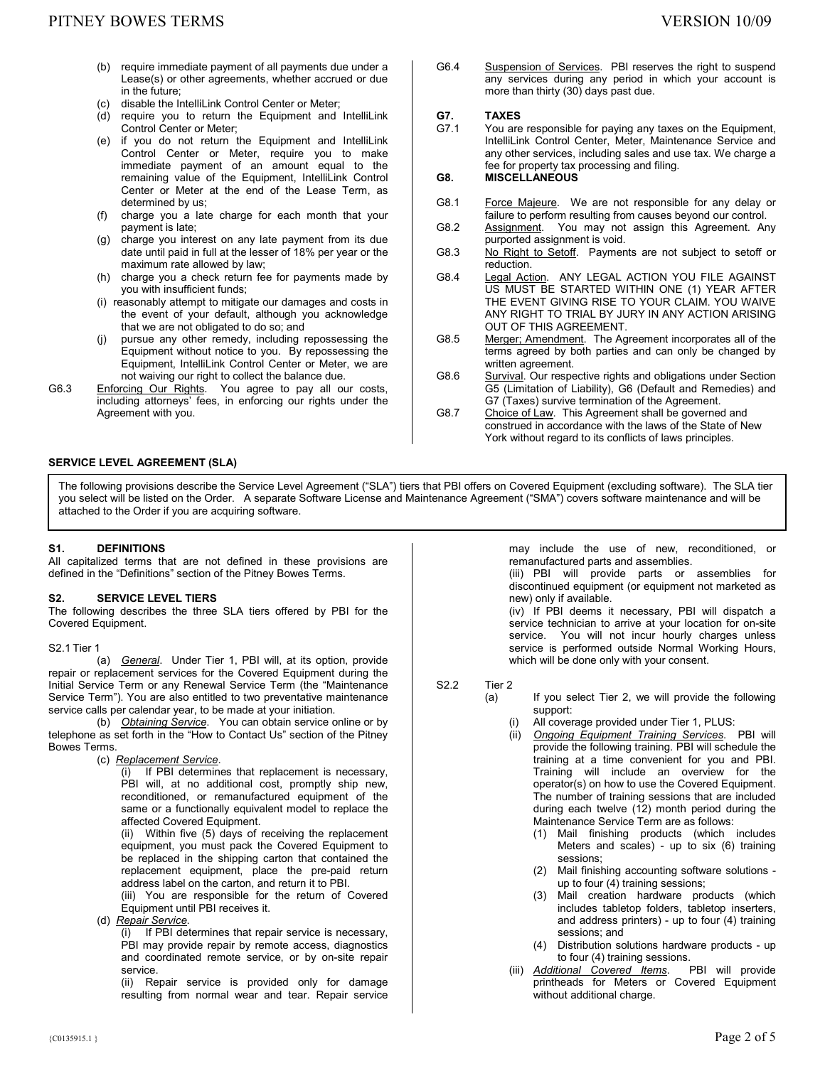- (b) require immediate payment of all payments due under a Lease(s) or other agreements, whether accrued or due in the future;
- (c) disable the IntelliLink Control Center or Meter;
- (d) require you to return the Equipment and IntelliLink Control Center or Meter;
- (e) if you do not return the Equipment and IntelliLink Control Center or Meter, require you to make immediate payment of an amount equal to the remaining value of the Equipment, IntelliLink Control Center or Meter at the end of the Lease Term, as determined by us;
- (f) charge you a late charge for each month that your payment is late;
- (g) charge you interest on any late payment from its due date until paid in full at the lesser of 18% per year or the maximum rate allowed by law;
- (h) charge you a check return fee for payments made by you with insufficient funds;
- (i) reasonably attempt to mitigate our damages and costs in the event of your default, although you acknowledge that we are not obligated to do so; and
- pursue any other remedy, including repossessing the Equipment without notice to you. By repossessing the Equipment, IntelliLink Control Center or Meter, we are not waiving our right to collect the balance due.
- G6.3 Enforcing Our Rights. You agree to pay all our costs, including attorneys' fees, in enforcing our rights under the Agreement with you.

## **SERVICE LEVEL AGREEMENT (SLA)**

G6.4 Suspension of Services. PBI reserves the right to suspend any services during any period in which your account is more than thirty (30) days past due.

# G7. **TAXES**<br>G7.1 You are

You are responsible for paying any taxes on the Equipment, IntelliLink Control Center, Meter, Maintenance Service and any other services, including sales and use tax. We charge a fee for property tax processing and filing.

## **G8. MISCELLANEOUS**

- G8.1 Force Majeure. We are not responsible for any delay or failure to perform resulting from causes beyond our control.
- G8.2 Assignment. You may not assign this Agreement. Any purported assignment is void.
- G8.3 No Right to Setoff. Payments are not subject to setoff or reduction.
- G8.4 Legal Action. ANY LEGAL ACTION YOU FILE AGAINST US MUST BE STARTED WITHIN ONE (1) YEAR AFTER THE EVENT GIVING RISE TO YOUR CLAIM. YOU WAIVE ANY RIGHT TO TRIAL BY JURY IN ANY ACTION ARISING OUT OF THIS AGREEMENT.
- G8.5 Merger; Amendment. The Agreement incorporates all of the terms agreed by both parties and can only be changed by written agreement.
- G8.6 Survival. Our respective rights and obligations under Section G5 (Limitation of Liability), G6 (Default and Remedies) and G7 (Taxes) survive termination of the Agreement.
- G8.7 Choice of Law. This Agreement shall be governed and construed in accordance with the laws of the State of New York without regard to its conflicts of laws principles.

The following provisions describe the Service Level Agreement ("SLA") tiers that PBI offers on Covered Equipment (excluding software). The SLA tier you select will be listed on the Order. A separate Software License and Maintenance Agreement ("SMA") covers software maintenance and will be attached to the Order if you are acquiring software.

#### **S1. DEFINITIONS**

All capitalized terms that are not defined in these provisions are defined in the "Definitions" section of the Pitney Bowes Terms.

#### **S2. SERVICE LEVEL TIERS**

The following describes the three SLA tiers offered by PBI for the Covered Equipment.

S2.1 Tier 1

 (a) *General*. Under Tier 1, PBI will, at its option, provide repair or replacement services for the Covered Equipment during the Initial Service Term or any Renewal Service Term (the "Maintenance Service Term"). You are also entitled to two preventative maintenance service calls per calendar year, to be made at your initiation.

 (b) *Obtaining Service*. You can obtain service online or by telephone as set forth in the "How to Contact Us" section of the Pitney Bowes Terms.

(c) *Replacement Service*.

(i) If PBI determines that replacement is necessary, PBI will, at no additional cost, promptly ship new, reconditioned, or remanufactured equipment of the same or a functionally equivalent model to replace the affected Covered Equipment.

(ii) Within five (5) days of receiving the replacement equipment, you must pack the Covered Equipment to be replaced in the shipping carton that contained the replacement equipment, place the pre-paid return address label on the carton, and return it to PBI.

(iii) You are responsible for the return of Covered Equipment until PBI receives it.

(d) *Repair Service*.

(i) If PBI determines that repair service is necessary, PBI may provide repair by remote access, diagnostics and coordinated remote service, or by on-site repair service.

(ii) Repair service is provided only for damage resulting from normal wear and tear. Repair service may include the use of new, reconditioned, or remanufactured parts and assemblies.

(iii) PBI will provide parts or assemblies for discontinued equipment (or equipment not marketed as new) only if available.

(iv) If PBI deems it necessary, PBI will dispatch a service technician to arrive at your location for on-site service. You will not incur hourly charges unless service is performed outside Normal Working Hours, which will be done only with your consent.

#### S2.2 Tier 2

- (a) If you select Tier 2, we will provide the following support:
	- (i) All coverage provided under Tier 1, PLUS:
	- (ii) *Ongoing Equipment Training Services*. PBI will provide the following training. PBI will schedule the training at a time convenient for you and PBI. Training will include an overview for the operator(s) on how to use the Covered Equipment. The number of training sessions that are included during each twelve (12) month period during the Maintenance Service Term are as follows:
		- (1) Mail finishing products (which includes Meters and scales) - up to six  $(6)$  training sessions;
		- (2) Mail finishing accounting software solutions up to four (4) training sessions;
		- (3) Mail creation hardware products (which includes tabletop folders, tabletop inserters, and address printers) - up to four (4) training sessions; and
		- (4) Distribution solutions hardware products up to four (4) training sessions.
	- (iii) *Additional Covered Items*. PBI will provide printheads for Meters or Covered Equipment without additional charge.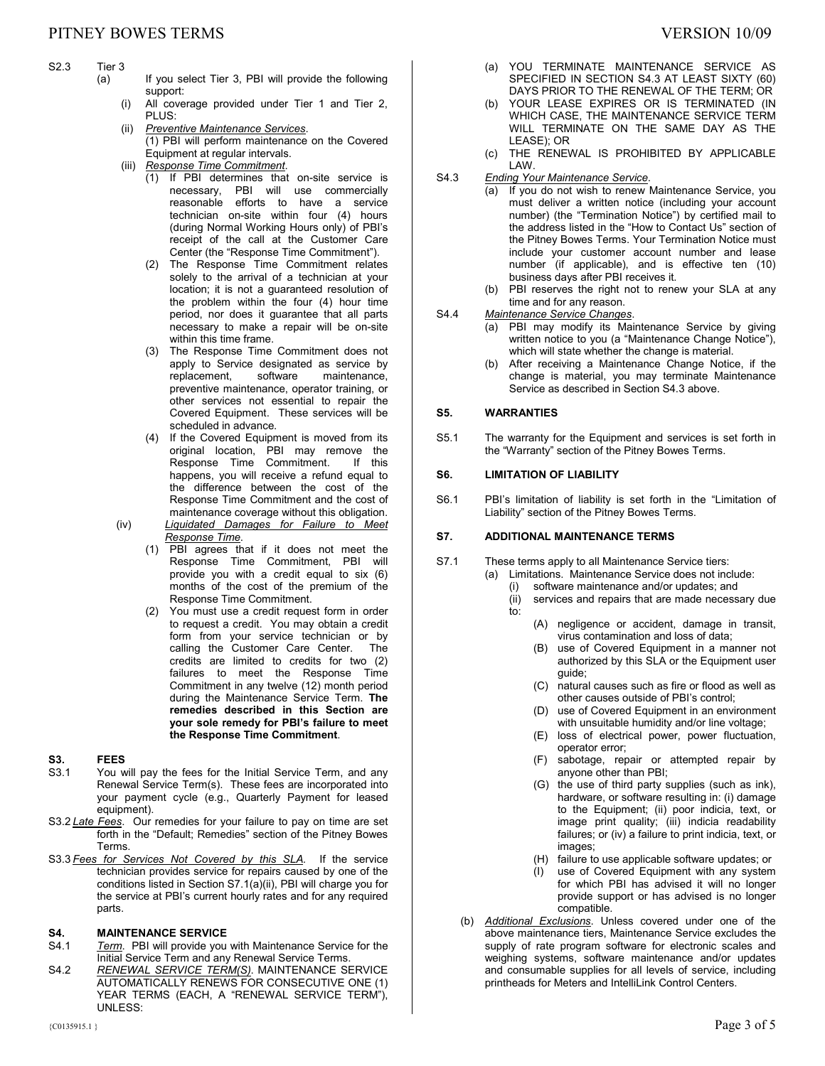# S2.3 Tier 3<br>(a)

- If you select Tier 3, PBI will provide the following support:
	- (i) All coverage provided under Tier 1 and Tier 2, PLUS<sup>.</sup>
	- (ii) *Preventive Maintenance Services*. (1) PBI will perform maintenance on the Covered Equipment at regular intervals.
	- (iii) *Response Time Commitment*.
		- (1) If PBI determines that on-site service is necessary, PBI will use commercially reasonable efforts to have a service technician on-site within four (4) hours (during Normal Working Hours only) of PBI's receipt of the call at the Customer Care Center (the "Response Time Commitment").
		- (2) The Response Time Commitment relates solely to the arrival of a technician at your location; it is not a guaranteed resolution of the problem within the four (4) hour time period, nor does it guarantee that all parts necessary to make a repair will be on-site within this time frame.
		- (3) The Response Time Commitment does not apply to Service designated as service by<br>replacement. software maintenance. maintenance, preventive maintenance, operator training, or other services not essential to repair the Covered Equipment. These services will be scheduled in advance.
		- (4) If the Covered Equipment is moved from its original location, PBI may remove the Response Time Commitment. If this happens, you will receive a refund equal to the difference between the cost of the Response Time Commitment and the cost of maintenance coverage without this obligation.
- (iv) *Liquidated Damages for Failure to Meet Response Time*.
	- (1) PBI agrees that if it does not meet the Response Time Commitment, PBI will provide you with a credit equal to six (6) months of the cost of the premium of the Response Time Commitment.
	- (2) You must use a credit request form in order to request a credit. You may obtain a credit form from your service technician or by calling the Customer Care Center. The credits are limited to credits for two (2) failures to meet the Response Time Commitment in any twelve (12) month period during the Maintenance Service Term. **The remedies described in this Section are your sole remedy for PBI's failure to meet the Response Time Commitment**.

## **S3. FEES**

- S3.1 You will pay the fees for the Initial Service Term, and any Renewal Service Term(s). These fees are incorporated into your payment cycle (e.g., Quarterly Payment for leased equipment).
- S3.2 *Late Fees*. Our remedies for your failure to pay on time are set forth in the "Default; Remedies" section of the Pitney Bowes Terms.
- S3.3 *Fees for Services Not Covered by this SLA.* If the service technician provides service for repairs caused by one of the conditions listed in Section S7.1(a)(ii), PBI will charge you for the service at PBI's current hourly rates and for any required parts.

# **S4. MAINTENANCE SERVICE**<br>S4.1 Term. PBI will provide you

- Term. PBI will provide you with Maintenance Service for the Initial Service Term and any Renewal Service Terms.
- S4.2 *RENEWAL SERVICE TERM(S)*. MAINTENANCE SERVICE AUTOMATICALLY RENEWS FOR CONSECUTIVE ONE (1) YEAR TERMS (EACH, A "RENEWAL SERVICE TERM"), UNLESS:
- (a) YOU TERMINATE MAINTENANCE SERVICE AS SPECIFIED IN SECTION S4.3 AT LEAST SIXTY (60) DAYS PRIOR TO THE RENEWAL OF THE TERM; OR
- (b) YOUR LEASE EXPIRES OR IS TERMINATED (IN WHICH CASE, THE MAINTENANCE SERVICE TERM WILL TERMINATE ON THE SAME DAY AS THE LEASE); OR
- (c) THE RENEWAL IS PROHIBITED BY APPLICABLE LAW.
- S4.3 *Ending Your Maintenance Service*.
	- (a) If you do not wish to renew Maintenance Service, you must deliver a written notice (including your account number) (the "Termination Notice") by certified mail to the address listed in the "How to Contact Us" section of the Pitney Bowes Terms. Your Termination Notice must include your customer account number and lease number (if applicable), and is effective ten (10) business days after PBI receives it.
		- (b) PBI reserves the right not to renew your SLA at any time and for any reason.

## S4.4 *Maintenance Service Changes*.

- (a) PBI may modify its Maintenance Service by giving written notice to you (a "Maintenance Change Notice"), which will state whether the change is material.
- (b) After receiving a Maintenance Change Notice, if the change is material, you may terminate Maintenance Service as described in Section S4.3 above.

## **S5. WARRANTIES**

S5.1 The warranty for the Equipment and services is set forth in the "Warranty" section of the Pitney Bowes Terms.

#### **S6. LIMITATION OF LIABILITY**

S6.1 PBI's limitation of liability is set forth in the "Limitation of Liability" section of the Pitney Bowes Terms.

### **S7. ADDITIONAL MAINTENANCE TERMS**

- S7.1 These terms apply to all Maintenance Service tiers:
	- (a) Limitations. Maintenance Service does not include: (i) software maintenance and/or updates; and
		- (ii) services and repairs that are made necessary due to:
			- (A) negligence or accident, damage in transit, virus contamination and loss of data;
			- (B) use of Covered Equipment in a manner not authorized by this SLA or the Equipment user guide;
			- (C) natural causes such as fire or flood as well as other causes outside of PBI's control;
			- (D) use of Covered Equipment in an environment with unsuitable humidity and/or line voltage;
			- (E) loss of electrical power, power fluctuation, operator error;
			- (F) sabotage, repair or attempted repair by anyone other than PBI;
			- (G) the use of third party supplies (such as ink), hardware, or software resulting in: (i) damage to the Equipment; (ii) poor indicia, text, or image print quality; (iii) indicia readability failures; or (iv) a failure to print indicia, text, or images;
			- (H) failure to use applicable software updates; or
			- (I) use of Covered Equipment with any system for which PBI has advised it will no longer provide support or has advised is no longer compatible.
	- (b) *Additional Exclusions*. Unless covered under one of the above maintenance tiers, Maintenance Service excludes the supply of rate program software for electronic scales and weighing systems, software maintenance and/or updates and consumable supplies for all levels of service, including printheads for Meters and IntelliLink Control Centers.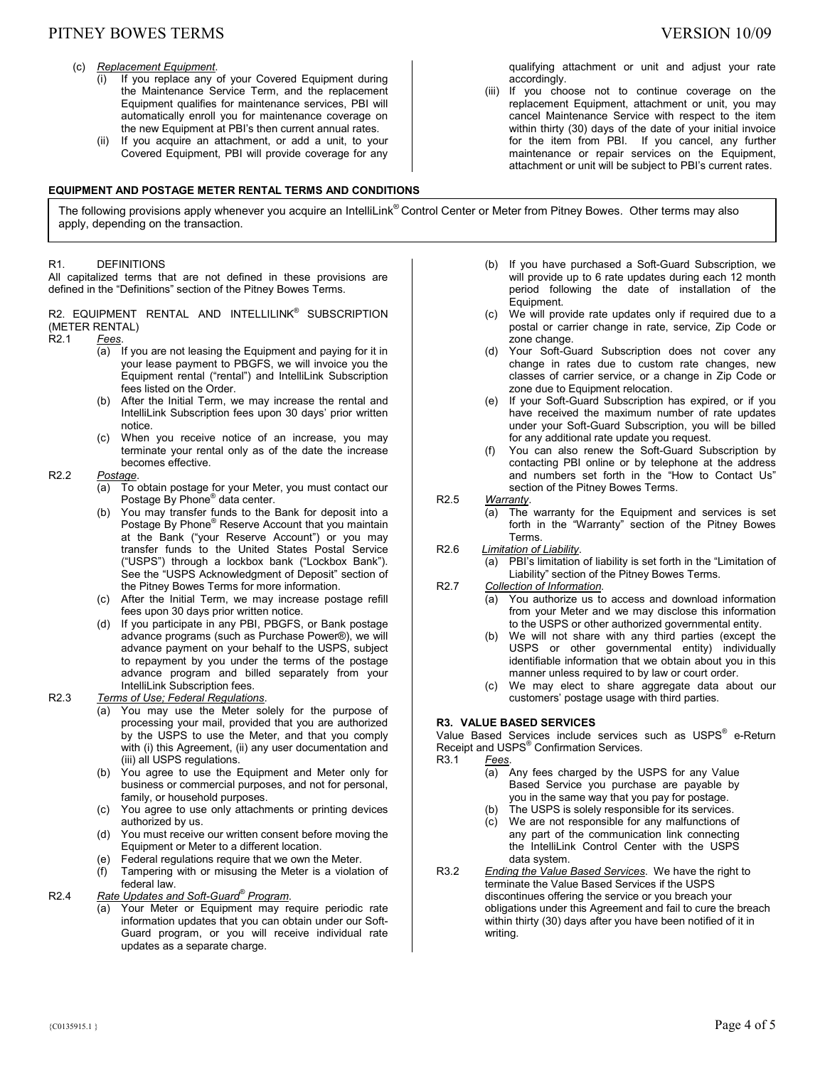# PITNEY BOWES TERMS SERVERS AND THE SERVERS OF THE SERVERS ON THE VERSION 10/09

- (c) *Replacement Equipment*.
	- (i) If you replace any of your Covered Equipment during the Maintenance Service Term, and the replacement Equipment qualifies for maintenance services, PBI will automatically enroll you for maintenance coverage on the new Equipment at PBI's then current annual rates.
	- (ii) If you acquire an attachment, or add a unit, to your Covered Equipment, PBI will provide coverage for any

#### **EQUIPMENT AND POSTAGE METER RENTAL TERMS AND CONDITIONS**

The following provisions apply whenever you acquire an IntelliLink® Control Center or Meter from Pitney Bowes. Other terms may also apply, depending on the transaction.

#### R1. DEFINITIONS

All capitalized terms that are not defined in these provisions are defined in the "Definitions" section of the Pitney Bowes Terms.

# R2. EQUIPMENT RENTAL AND INTELLILINK® SUBSCRIPTION (METER RENTAL)<br>R2.1 Fees.

R2.1 *Fees*.

- (a) If you are not leasing the Equipment and paying for it in your lease payment to PBGFS, we will invoice you the Equipment rental ("rental") and IntelliLink Subscription fees listed on the Order.
- (b) After the Initial Term, we may increase the rental and IntelliLink Subscription fees upon 30 days' prior written notice.
- (c) When you receive notice of an increase, you may terminate your rental only as of the date the increase becomes effective.

#### R2.2 *Postage*.

- (a) To obtain postage for your Meter, you must contact our Postage By Phone® data center.
- (b) You may transfer funds to the Bank for deposit into a Postage By Phone<sup>®</sup> Reserve Account that you maintain at the Bank ("your Reserve Account") or you may transfer funds to the United States Postal Service ("USPS") through a lockbox bank ("Lockbox Bank"). See the "USPS Acknowledgment of Deposit" section of the Pitney Bowes Terms for more information.
- (c) After the Initial Term, we may increase postage refill fees upon 30 days prior written notice.
- (d) If you participate in any PBI, PBGFS, or Bank postage advance programs (such as Purchase Power®), we will advance payment on your behalf to the USPS, subject to repayment by you under the terms of the postage advance program and billed separately from your IntelliLink Subscription fees.

#### R2.3 *Terms of Use; Federal Regulations*.

- (a) You may use the Meter solely for the purpose of processing your mail, provided that you are authorized by the USPS to use the Meter, and that you comply with (i) this Agreement, (ii) any user documentation and (iii) all USPS regulations.
- (b) You agree to use the Equipment and Meter only for business or commercial purposes, and not for personal, family, or household purposes.
- (c) You agree to use only attachments or printing devices authorized by us.
- (d) You must receive our written consent before moving the Equipment or Meter to a different location.
- (e) Federal regulations require that we own the Meter.
- (f) Tampering with or misusing the Meter is a violation of federal law.

#### R2.4 *Rate Updates and Soft-Guard® Program*.

Your Meter or Equipment may require periodic rate information updates that you can obtain under our Soft-Guard program, or you will receive individual rate updates as a separate charge.

qualifying attachment or unit and adjust your rate accordingly.

- (iii) If you choose not to continue coverage on the replacement Equipment, attachment or unit, you may cancel Maintenance Service with respect to the item within thirty (30) days of the date of your initial invoice for the item from PBI. If you cancel, any further maintenance or repair services on the Equipment, attachment or unit will be subject to PBI's current rates.
- (b) If you have purchased a Soft-Guard Subscription, we will provide up to 6 rate updates during each 12 month period following the date of installation of the Equipment.
- (c) We will provide rate updates only if required due to a postal or carrier change in rate, service, Zip Code or zone change.
- (d) Your Soft-Guard Subscription does not cover any change in rates due to custom rate changes, new classes of carrier service, or a change in Zip Code or zone due to Equipment relocation.
- (e) If your Soft-Guard Subscription has expired, or if you have received the maximum number of rate updates under your Soft-Guard Subscription, you will be billed for any additional rate update you request.
- (f) You can also renew the Soft-Guard Subscription by contacting PBI online or by telephone at the address and numbers set forth in the "How to Contact Us" section of the Pitney Bowes Terms.
- R2.5 *Warranty*.
	- (a) The warranty for the Equipment and services is set forth in the "Warranty" section of the Pitney Bowes Terms.
- R2.6 *Limitation of Liability*.
	- PBI's limitation of liability is set forth in the "Limitation of Liability" section of the Pitney Bowes Terms.
- R2.7 *Collection of Information*.
	- (a) You authorize us to access and download information from your Meter and we may disclose this information to the USPS or other authorized governmental entity.
	- (b) We will not share with any third parties (except the USPS or other governmental entity) individually identifiable information that we obtain about you in this manner unless required to by law or court order.
	- (c) We may elect to share aggregate data about our customers' postage usage with third parties.

## **R3. VALUE BASED SERVICES**

Value Based Services include services such as USPS® e-Return Receipt and USPS<sup>®</sup> Confirmation Services.

R3.1 *Fees*.

- (a) Any fees charged by the USPS for any Value Based Service you purchase are payable by you in the same way that you pay for postage.
- (b) The USPS is solely responsible for its services.
- (c) We are not responsible for any malfunctions of any part of the communication link connecting the IntelliLink Control Center with the USPS data system.
- R3.2 *Ending the Value Based Services*. We have the right to terminate the Value Based Services if the USPS discontinues offering the service or you breach your obligations under this Agreement and fail to cure the breach within thirty (30) days after you have been notified of it in writing.